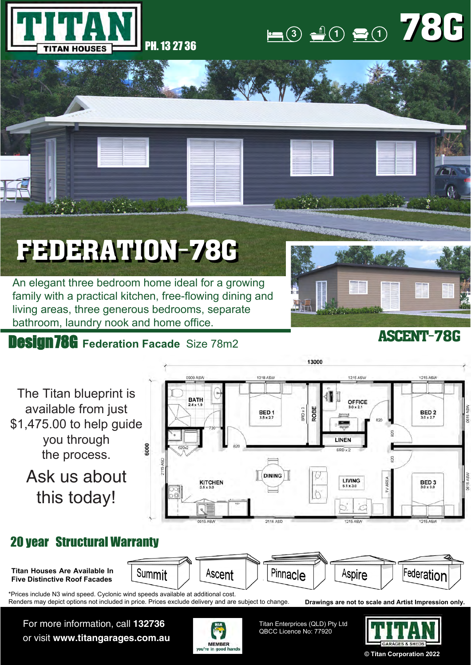

## $\bullet$  **1 1 1 1 1 1 1 1** 78G

# FEDERATION-78G

An elegant three bedroom home ideal for a growing family with a practical kitchen, free-flowing dining and living areas, three generous bedrooms, separate bathroom, laundry nook and home office.

### **Design 78G** Federation Facade Size 78m2



#### ASCENT-78G



or visit **www.titangarages.com.au**





**© Titan Corporation 2022**